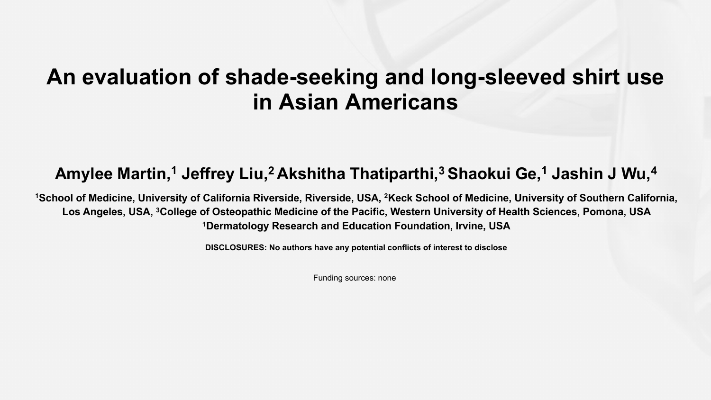## **An evaluation of shade-seeking and long-sleeved shirt use in Asian Americans**

## **Amylee Martin,1 Jeffrey Liu, 2 Akshitha Thatiparthi, <sup>3</sup> Shaokui Ge,1 Jashin J Wu,4**

**1School of Medicine, University of California Riverside, Riverside, USA, 2Keck School of Medicine, University of Southern California, Los Angeles, USA, 3College of Osteopathic Medicine of the Pacific, Western University of Health Sciences, Pomona, USA 1Dermatology Research and Education Foundation, Irvine, USA**

**DISCLOSURES: No authors have any potential conflicts of interest to disclose**

Funding sources: none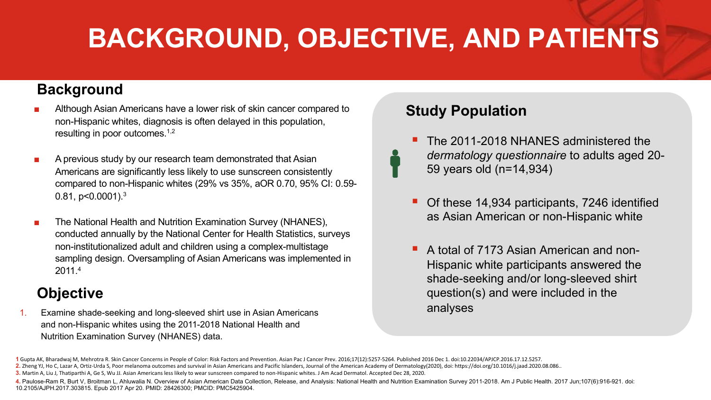# **BACKGROUND, OBJECTIVE, AND PATIENTS**

### **Background**

- Although Asian Americans have a lower risk of skin cancer compared to non-Hispanic whites, diagnosis is often delayed in this population, resulting in poor outcomes.<sup>1,2</sup>
- A previous study by our research team demonstrated that Asian Americans are significantly less likely to use sunscreen consistently compared to non-Hispanic whites (29% vs 35%, aOR 0.70, 95% CI: 0.59- 0.81, p<0.0001).<sup>3</sup>
- The National Health and Nutrition Examination Survey (NHANES), conducted annually by the National Center for Health Statistics, surveys non-institutionalized adult and children using a complex-multistage sampling design. Oversampling of Asian Americans was implemented in 2011.4

### **Objective**

1. Examine shade-seeking and long-sleeved shirt use in Asian Americans and non-Hispanic whites using the 2011-2018 National Health and Nutrition Examination Survey (NHANES) data.

### **Study Population**

- § The 2011-2018 NHANES administered the *dermatology questionnaire* to adults aged 20- 59 years old (n=14,934)
- § Of these 14,934 participants, 7246 identified as Asian American or non-Hispanic white
- § A total of 7173 Asian American and non-Hispanic white participants answered the shade-seeking and/or long-sleeved shirt question(s) and were included in the analyses

**<sup>1</sup>** Gupta AK, Bharadwaj M, Mehrotra R. Skin Cancer Concerns in People of Color: Risk Factors and Prevention. Asian Pac J Cancer Prev. 2016;17(12):5257-5264. Published 2016 Dec 1. doi:10.22034/APJCP.2016.17.12.5257. 2. Zheng YJ, Ho C, Lazar A, Ortiz-Urda S, Poor melanoma outcomes and survival in Asian Americans and Pacific Islanders, Journal of the American Academy of Dermatology(2020), doi: https://doi.org/10.1016/i.jaad.2020.08.086.

**<sup>3.</sup>** Martin A, Liu J, Thatiparthi A, Ge S, Wu JJ. Asian Americans less likely to wear sunscreen compared to non-Hispanic whites. J Am Acad Dermatol. Accepted Dec 28, 2020.

<sup>4.</sup> Paulose-Ram R, Burt V, Broitman L, Ahluwalia N. Overview of Asian American Data Collection, Release, and Analysis: National Health and Nutrition Examination Survey 2011-2018. Am J Public Health. 2017 Jun;107(6):916-921. 10.2105/AJPH.2017.303815. Epub 2017 Apr 20. PMID: 28426300; PMCID: PMC5425904.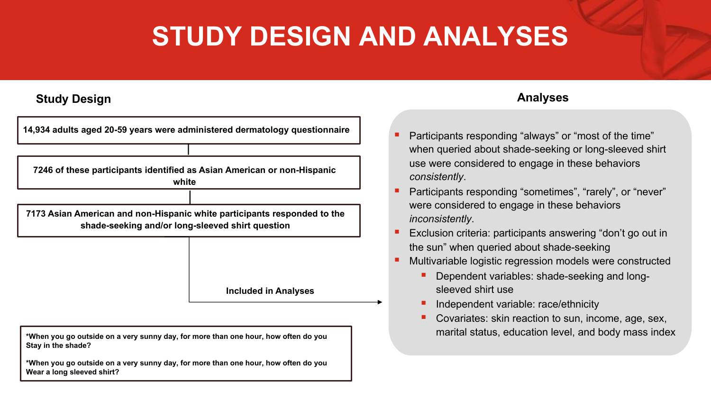## **STUDY DESIGN AND ANALYSES**

#### **Study Design**

**14,934 adults aged 20-59 years were administered dermatology questionnaire 7246 of these participants identified as Asian American or non-Hispanic white 7173 Asian American and non-Hispanic white participants responded to the shade-seeking and/or long-sleeved shirt question**

**Included in Analyses**

**\*When you go outside on a very sunny day, for more than one hour, how often do you Stay in the shade?**

**\*When you go outside on a very sunny day, for more than one hour, how often do you Wear a long sleeved shirt?**

#### **Analyses**

- § Participants responding "always" or "most of the time" when queried about shade-seeking or long-sleeved shirt use were considered to engage in these behaviors *consistently*.
- Participants responding "sometimes", "rarely", or "never" were considered to engage in these behaviors *inconsistently*.
- Exclusion criteria: participants answering "don't go out in the sun" when queried about shade-seeking
- § Multivariable logistic regression models were constructed
	- § Dependent variables: shade-seeking and longsleeved shirt use
	- Independent variable: race/ethnicity
	- § Covariates: skin reaction to sun, income, age, sex, marital status, education level, and body mass index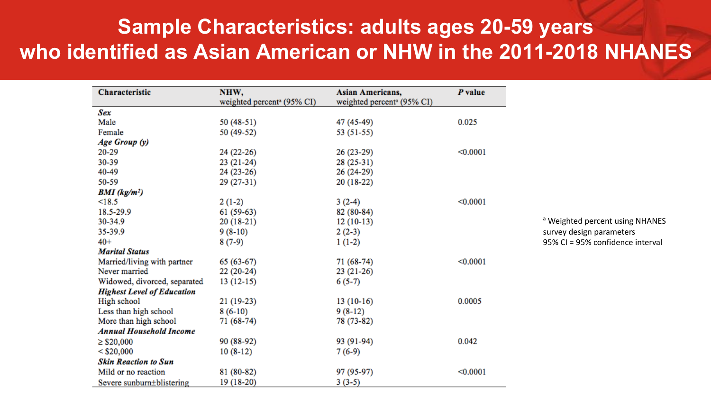## **Sample Characteristics: adults ages 20-59 years who identified as Asian American or NHW in the 2011-2018 NHANES**

| Characteristic                    | NHW.                                   | Asian Americans,                       | P value  |
|-----------------------------------|----------------------------------------|----------------------------------------|----------|
|                                   | weighted percent <sup>a</sup> (95% CI) | weighted percent <sup>a</sup> (95% CI) |          |
| Sex                               |                                        |                                        |          |
| Male                              | $50(48-51)$                            | 47 (45-49)                             | 0.025    |
| Female                            | 50 (49-52)                             | 53 (51-55)                             |          |
| Age Group (y)                     |                                        |                                        |          |
| 20-29                             | 24 (22-26)                             | $26(23-29)$                            | < 0.0001 |
| 30-39                             | $23(21-24)$                            | $28(25-31)$                            |          |
| 40-49                             | 24 (23-26)                             | 26 (24-29)                             |          |
| 50-59                             | 29 (27-31)                             | $20(18-22)$                            |          |
| $BMI$ (kg/m <sup>2</sup> )        |                                        |                                        |          |
| <18.5                             | $2(1-2)$                               | $3(2-4)$                               | < 0.0001 |
| 18.5-29.9                         | $61(59-63)$                            | 82 (80-84)                             |          |
| 30-34.9                           | $20(18-21)$                            | $12(10-13)$                            |          |
| 35-39.9                           | $9(8-10)$                              | $2(2-3)$                               |          |
| $40+$                             | $8(7-9)$                               | $1(1-2)$                               |          |
| <b>Marital Status</b>             |                                        |                                        |          |
| Married/living with partner       | $65(63-67)$                            | 71 (68-74)                             | < 0.0001 |
| Never married                     | $22(20-24)$                            | $23(21-26)$                            |          |
| Widowed, divorced, separated      | $13(12-15)$                            | $6(5-7)$                               |          |
| <b>Highest Level of Education</b> |                                        |                                        |          |
| High school                       | $21(19-23)$                            | $13(10-16)$                            | 0.0005   |
| Less than high school             | $8(6-10)$                              | $9(8-12)$                              |          |
| More than high school             | 71 (68-74)                             | 78 (73-82)                             |          |
| <b>Annual Household Income</b>    |                                        |                                        |          |
| $\geq$ \$20,000                   | 90 (88-92)                             | 93 (91-94)                             | 0.042    |
| $<$ \$20,000                      | $10(8-12)$                             | $7(6-9)$                               |          |
| <b>Skin Reaction to Sun</b>       |                                        |                                        |          |
| Mild or no reaction               | 81 (80-82)                             | 97 (95-97)                             | < 0.0001 |
| Severe sunburn±blistering         | 19 (18-20)                             | $3(3-5)$                               |          |